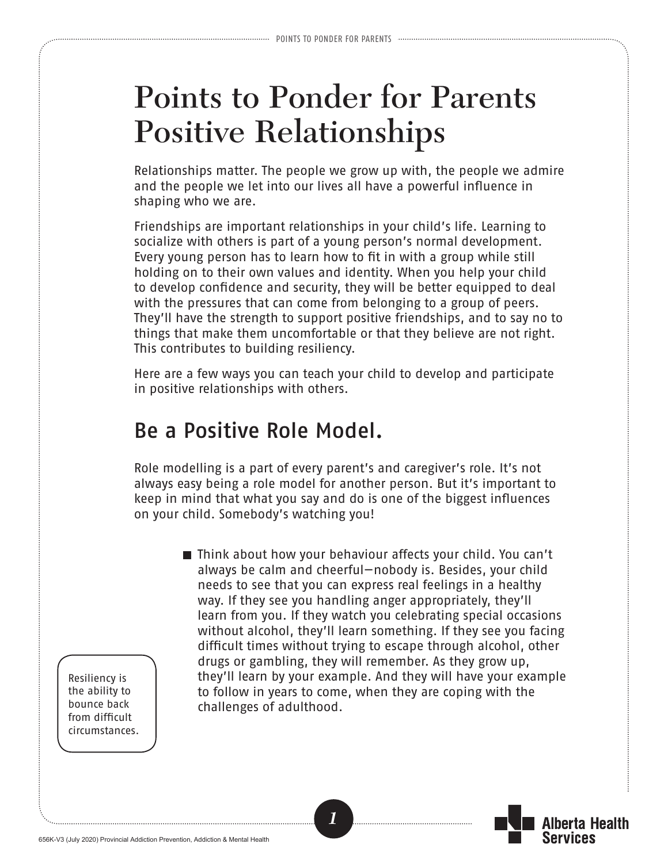## **Points to Ponder for Parents Positive Relationships**

Relationships matter. The people we grow up with, the people we admire and the people we let into our lives all have a powerful influence in shaping who we are.

Friendships are important relationships in your child's life. Learning to socialize with others is part of a young person's normal development. Every young person has to learn how to fit in with a group while still holding on to their own values and identity. When you help your child to develop confidence and security, they will be better equipped to deal with the pressures that can come from belonging to a group of peers. They'll have the strength to support positive friendships, and to say no to things that make them uncomfortable or that they believe are not right. This contributes to building resiliency.

Here are a few ways you can teach your child to develop and participate in positive relationships with others.

## Be a Positive Role Model.

Role modelling is a part of every parent's and caregiver's role. It's not always easy being a role model for another person. But it's important to keep in mind that what you say and do is one of the biggest influences on your child. Somebody's watching you!

*1*

■ Think about how your behaviour affects your child. You can't always be calm and cheerful—nobody is. Besides, your child needs to see that you can express real feelings in a healthy way. If they see you handling anger appropriately, they'll learn from you. If they watch you celebrating special occasions without alcohol, they'll learn something. If they see you facing difficult times without trying to escape through alcohol, other drugs or gambling, they will remember. As they grow up, they'll learn by your example. And they will have your example to follow in years to come, when they are coping with the challenges of adulthood.

lherta Health

Services

Resiliency is the ability to bounce back from difficult circumstances.

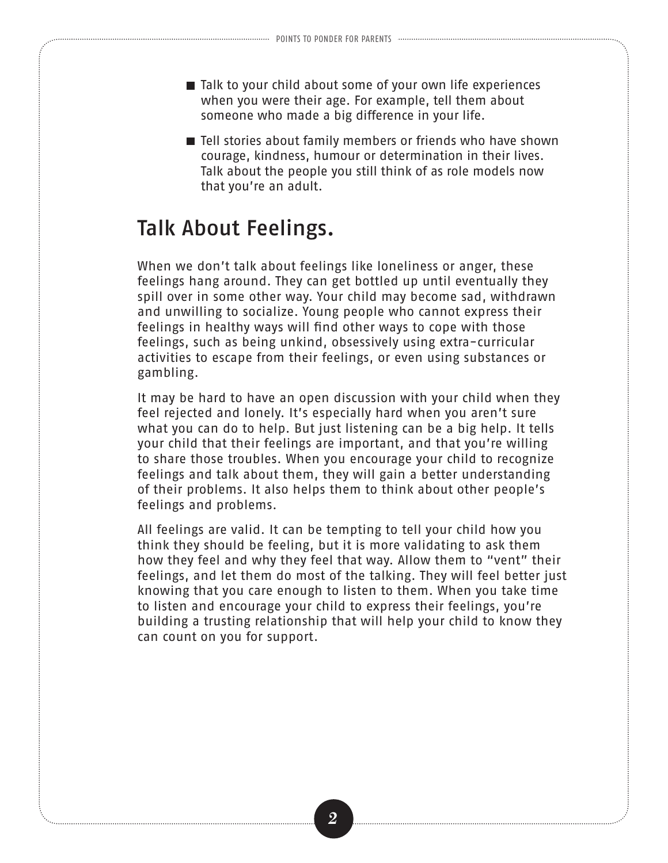- Talk to your child about some of your own life experiences when you were their age. For example, tell them about someone who made a big difference in your life.
- Tell stories about family members or friends who have shown courage, kindness, humour or determination in their lives. Talk about the people you still think of as role models now that you're an adult.

## Talk About Feelings.

When we don't talk about feelings like loneliness or anger, these feelings hang around. They can get bottled up until eventually they spill over in some other way. Your child may become sad, withdrawn and unwilling to socialize. Young people who cannot express their feelings in healthy ways will find other ways to cope with those feelings, such as being unkind, obsessively using extra-curricular activities to escape from their feelings, or even using substances or gambling.

It may be hard to have an open discussion with your child when they feel rejected and lonely. It's especially hard when you aren't sure what you can do to help. But just listening can be a big help. It tells your child that their feelings are important, and that you're willing to share those troubles. When you encourage your child to recognize feelings and talk about them, they will gain a better understanding of their problems. It also helps them to think about other people's feelings and problems.

All feelings are valid. It can be tempting to tell your child how you think they should be feeling, but it is more validating to ask them how they feel and why they feel that way. Allow them to "vent" their feelings, and let them do most of the talking. They will feel better just knowing that you care enough to listen to them. When you take time to listen and encourage your child to express their feelings, you're building a trusting relationship that will help your child to know they can count on you for support.